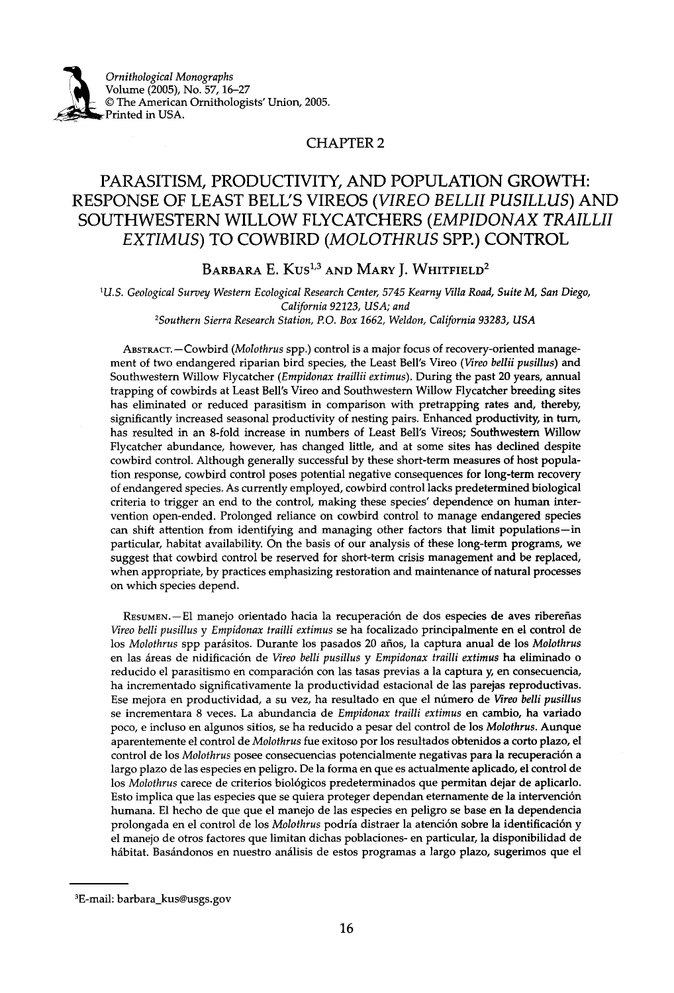

# **CHAPTER 2**

# **PARASITISM, PRODUCTIVITY, AND POPULATION GROWTH: RESPONSE OF LEAST BELL'S VIREOS (VIREO BELLH PUSILLUS) AND SOUTHWESTERN WILLOW FLYCATCHERS (EMPIDONAX TRAILLH EXTIMUS) TO COWBIRD (MOLOTHRUS SPP.) CONTROL**

BARBARA E. KUS<sup>1,3</sup> AND MARY J. WHITFIELD<sup>2</sup>

**•U.S. Geological Survey Western Ecological Research Center, 5745 Kearny Villa Road, Suite M, San Diego, California 92123, USA; and 2Southern Sierra Research Station, P.O. Box 1662, Weldon, California 93283, USA** 

ABSTRACT.-Cowbird (Molothrus spp.) control is a major focus of recovery-oriented manage**ment of two endangered riparian bird species, the Least Bell's Vireo (Vireo bellii pusillus) and Southwestern Willow Flycatcher (Empidonax traillii extimus). During the past 20 years, annual trapping of cowbirds at Least Bell's Vireo and Southwestern Willow Flycatcher breeding sites**  has eliminated or reduced parasitism in comparison with pretrapping rates and, thereby, **significantly increased seasonal productivity of nesting pairs. Enhanced productivity, in turn, has resulted in an 8-fold increase in numbers of Least Bell's Vireos; Southwestern Willow Flycatcher abundance, however, has changed little, and at some sites has declined despite cowbird control. Although generally successful by these short-term measures of host population response, cowbird control poses potential negative consequences for long-term recovery of endangered species. As currently employed, cowbird control lacks predetermined biological criteria to trigger an end to the control, making these species' dependence on human inter**vention open-ended. Prolonged reliance on cowbird control to manage endangered species **can shift attention from identifying and managing other factors that limit populations--in particular, habitat availability. On the basis of our analysis of these long-term programs, we suggest that cowbird control be reserved for short-term crisis management and be replaced, when appropriate, by practices emphasizing restoration and maintenance of natural processes on which species depend.** 

**RESUMEN.--EI manejo orientado hacia la recuperaci6n de dos especies de aves riberefias**  Vireo belli pusillus y Empidonax trailli extimus se ha focalizado principalmente en el control de los Molothrus spp parásitos. Durante los pasados 20 años, la captura anual de los Molothrus **en las fireas de nidificaci6n de Vireo belli pusillus y Empidonax trailli extimus ha eliminado o**  reducido el parasitismo en comparación con las tasas previas a la captura y, en consecuencia, **ha incrementado significativamente la productividad estacional de las parejas reproductivas.**  Ese mejora en productividad, a su vez, ha resultado en que el número de Vireo belli pusillus **se incrementara 8veces. La abundancia de Empidonax trailli extimus en cambio, ha variado poco, e incluso en algunos sitlos, se ha reducido a pesar del control de los Molothrus. Aunque**  aparentemente el control de Molothrus fue exitoso por los resultados obtenidos a corto plazo, el control de los Molothrus posee consecuencias potencialmente negativas para la recuperación a **largo plazo de las especies en peligro. De la forma en que es actualmente aplicado, el control de los Molothrus carece de criterios bio16gicos predeterminados que permitan dejar de aplicarlo. Esto implica que las especies que se quiera proteger dependan eternamente de la intervenci6n humana. E1 hecho de que que el manejo de las especies en peligro se base en la dependencia**  prolongada en el control de los *Molothrus* podría distraer la atención sobre la identificación y **el manejo de otros factores que limitan dichas poblaciones- en particular, la disponibilidade hfibitat. Basfindonos en nuestro anfilisis de estos programas a largo plazo, sugerimos que el** 

**<sup>3</sup>E-mail: barbara\_kus@usgs.gov**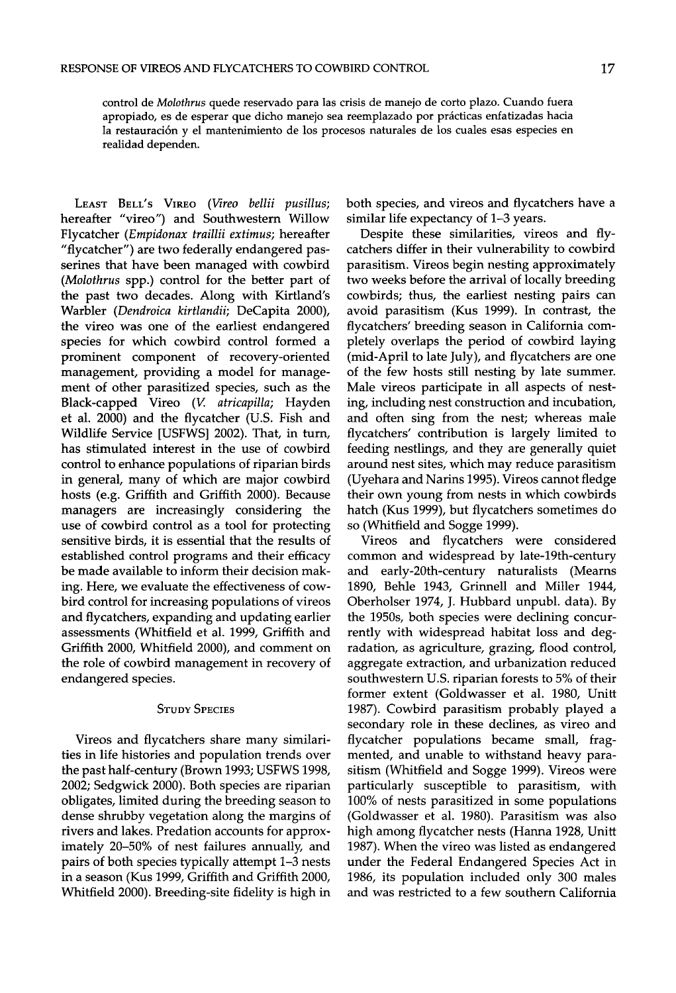**control de Molothrus quede reservado para las crisis de manejo de corto plazo. Cuando fuera**  apropiado, es de esperar que dicho manejo sea reemplazado por prácticas enfatizadas hacia la restauración y el mantenimiento de los procesos naturales de los cuales esas especies en **realidad dependen.** 

LEAST BELL'S VIREO (Vireo bellii pusillus; **hereafter "vireo") and Southwestern Willow Flycatcher (Empidonax traillii extimus; hereafter**  "flycatcher") are two federally endangered pas**serines that have been managed with cowbird (Molothrus spp.) control for the better part of the past two decades. Along with Kirtland's Warbler (Dendroica kirtlandii; DeCapita 2000), the vireo was one of the earliest endangered species for which cowbird control formed a prominent component of recovery-oriented management, providing a model for management of other parasitized species, such as the Black-capped Vireo (V. atricapilla; Hayden et al. 2000) and the flycatcher (U.S. Fish and Wildlife Service [USFWS] 2002). That, in turn, has stimulated interest in the use of cowbird control to enhance populations of riparian birds**  in general, many of which are major cowbird **hosts (e.g. Griffith and Griffith 2000). Because managers are increasingly considering the use of cowbird control as a tool for protecting sensitive birds, it is essential that the results of established control programs and their efficacy be made available to inform their decision making. Here, we evaluate the effectiveness of cowbird control for increasing populations of vireos and flycatchers, expanding and updating earlier assessments (Whitfield et al. 1999, Griffith and Griffith 2000, Whitfield 2000), and comment on the role of cowbird management in recovery of endangered species.** 

## **STUDY SPECIES**

**Vireos and flycatchers share many similarities in life histories and population trends over the past half-century (Brown 1993; USFWS 1998, 2002; Sedgwick 2000). Both species are riparian obligates, limited during the breeding season to dense shrubby vegetation along the margins of rivers and lakes. Predation accounts for approximately 20-50% of nest failures annually, and pairs of both species typically attempt 1-3 nests in a season (Kus 1999, Griffith and Griffith 2000, Whitfield 2000). Breeding-site fidelity is high in** 

**both species, and vireos and flycatchers have a similar life expectancy of 1-3 years.** 

**Despite these similarities, vireos and flycatchers differ in their vulnerability to cowbird parasitism. Vireos begin nesting approximately two weeks before the arrival of locally breeding cowbirds; thus, the earliest nesting pairs can avoid parasitism (Kus 1999). In contrast, the flycatchers' breeding season in California completely overlaps the period of cowbird laying (mid-April to late July), and flycatchers are one of the few hosts still nesting by late summer. Male vireos participate in all aspects of nesting, including nest construction and incubation, and often sing from the nest; whereas male flycatchers' contribution is largely limited to feeding nestlings, and they are generally quiet around nest sites, which may reduce parasitism (Uyehara and Narins 1995). Vireos cannot fledge their own young from nests in which cowbirds hatch (Kus 1999), but flycatchers sometimes do so (Whitfield and Sogge 1999).** 

**Vireos and flycatchers were considered common and widespread by late-19th-century and early-20th-century naturalists (Mearns 1890, Behle 1943, Grinnell and Miller 1944, Oberholser 1974, J. Hubbard unpubl. data). By the 1950s, both species were declining concurrently with widespread habitat loss and deg**radation, as agriculture, grazing, flood control, **aggregate extraction, and urbanization reduced southwestern U.S. riparian forests to 5% of their former extent (Goldwasser et al. 1980, Unitt 1987). Cowbird parasitism probably played a secondary role in these declines, as vireo and flycatcher populations became small, fragmented, and unable to withstand heavy parasitism (Whitfield and Sogge 1999). Vireos were particularly susceptible to parasitism, with 100% of nests parasitized in some populations (Goldwasser et al. 1980). Parasitism was also high among flycatcher nests (Hanna 1928, Unitt 1987). When the vireo was listed as endangered under the Federal Endangered Species Act in 1986, its population included only 300 males and was restricted to a few southern California**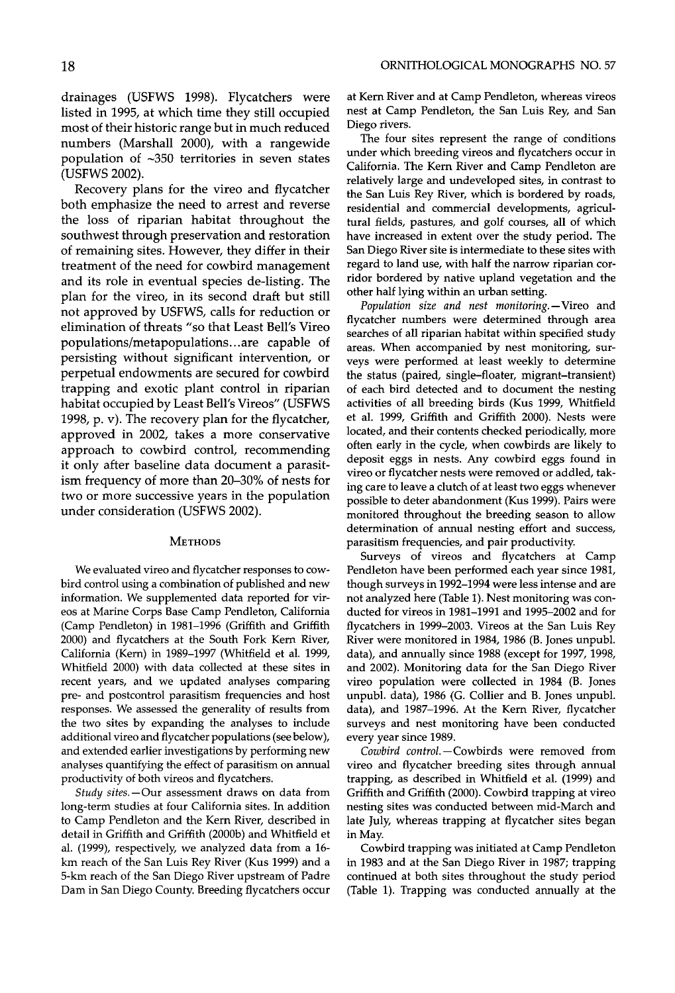**drainages (USFWS 1998). Flycatchers were listed in 1995, at which time they still occupied most of their historic range but in much reduced numbers (Marshall 2000), with a rangewide population of -350 territories in seven states (USFWS 2002).** 

**Recovery plans for the vireo and flycatcher both emphasize the need to arrest and reverse the loss of riparian habitat throughout the southwest through preservation and restoration of remaining sites. However, they differ in their treatment of the need for cowbird management and its role in eventual species de-listing. The plan for the vireo, in its second draft but still not approved by USFWS, calls for reduction or elimination of threats "so that Least Bell's Vireo populations/metapopulations...are capable of persisting without significant intervention, or perpetual endowments are secured for cowbird trapping and exotic plant control in riparian habitat occupied by Least Bell's Vireos" (USFWS 1998, p. v). The recovery plan for the flycatcher, approved in 2002, takes a more conservative approach to cowbird control, recommending it only after baseline data document a parasitism frequency of more than 20-30% of nests for two or more successive years in the population under consideration (USFWS 2002).** 

#### **METHODS**

**We evaluated vireo and flycatcher responses to cowbird control using a combination of published and new information. We supplemented data reported for vireos at Marine Corps Base Camp Pendleton, California (Camp Pendleton) in 1981-1996 (Griffith and Griffith 2000) and flycatchers at the South Fork Kern River, California (Kern) in 1989-1997 (Whitfield et al. 1999, Whitfield 2000) with data collected at these sites in recent years, and we updated analyses comparing pre- and postcontrol parasitism frequencies and host responses. We assessed the generality of results from the two sites by expanding the analyses to include additional vireo and flycatcher populations (see below), and extended earlier investigations by performing new analyses quantifying the effect of parasitism on annual productivity of both vireos and flycatchers.** 

Study sites.-Our assessment draws on data from **long-term studies at four California sites. In addition to Camp Pendleton and the Kern River, described in detail in Griffith and Griffith (2000b) and Whitfield et al. (1999), respectively, we analyzed data from a 16 km reach of the San Luis Rey River (Kus 1999) and a 5-km reach of the San Diego River upstream of Padre Dam in San Diego County. Breeding flycatchers occur** 

**at Kern River and at Camp Pendleton, whereas vireos nest at Camp Pendleton, the San Luis Rey, and San Diego rivers.** 

The four sites represent the range of conditions **under which breeding vireos and flycatchers occur in California. The Kern River and Camp Pendleton are relatively large and undeveloped sites, in contrast to the San Luis Rey River, which is bordered by roads, residential and commercial developments, agricultural fields, pastures, and golf courses, all of which have increased in extent over the study period. The San Diego River site is intermediate to these sites with regard to land use, with half the narrow riparian corridor bordered by native upland vegetation and the other half lying within an urban setting.** 

Population size and nest monitoring.-Vireo and **flycatcher numbers were determined through area**  searches of all riparian habitat within specified study **areas. When accompanied by nest monitoring, surveys were performed at least weekly to determine the status (paired, single-floater, migrant-transient) of each bird detected and to document the nesting activities of all breeding birds (Kus 1999, Whitfield et al. 1999, Griffith and Griffith 2000). Nests were located, and their contents checked periodically, more often early in the cycle, when cowbirds are likely to deposit eggs in nests. Any cowbird eggs found in vireo or flycatcher nests were removed or addled, taking care to leave a clutch of at least two eggs whenever possible to deter abandonment (Kus 1999). Pairs were monitored throughout the breeding season to allow determination of annual nesting effort and success, parasitism frequencies, and pair productivity.** 

**Surveys of vireos and flycatchers at Camp Pendleton have been performed each year since 1981, though surveys in 1992-1994 were less intense and are not analyzed here (Table 1). Nest monitoring was conducted for vireos in 1981-1991 and 1995-2002 and for flycatchers in 1999-2003. Vireos at the San Luis Rey River were monitored in 1984, 1986 (B. Jones unpubl. data), and annually since 1988 (except for 1997, 1998, and 2002). Monitoring data for the San Diego River vireo population were collected in 1984 (B. Jones unpubl. data), 1986 (G. Collier and B. Jones unpubl. data), and 1987-1996. At the Kern River, flycatcher surveys and nest monitoring have been conducted every year since 1989.** 

Cowbird control.-Cowbirds were removed from **vireo and flycatcher breeding sites through annual trapping, as described in Whitfield et al. (1999) and Griffith and Griffith (2000). Cowbird trapping at vireo nesting sites was conducted between mid-March and late July, whereas trapping at flycatcher sites began in May.** 

**Cowbird trapping was initiated at Camp Pendleton in 1983 and at the San Diego River in 1987; trapping continued at both sites throughout the study period (Table 1). Trapping was conducted annually at the**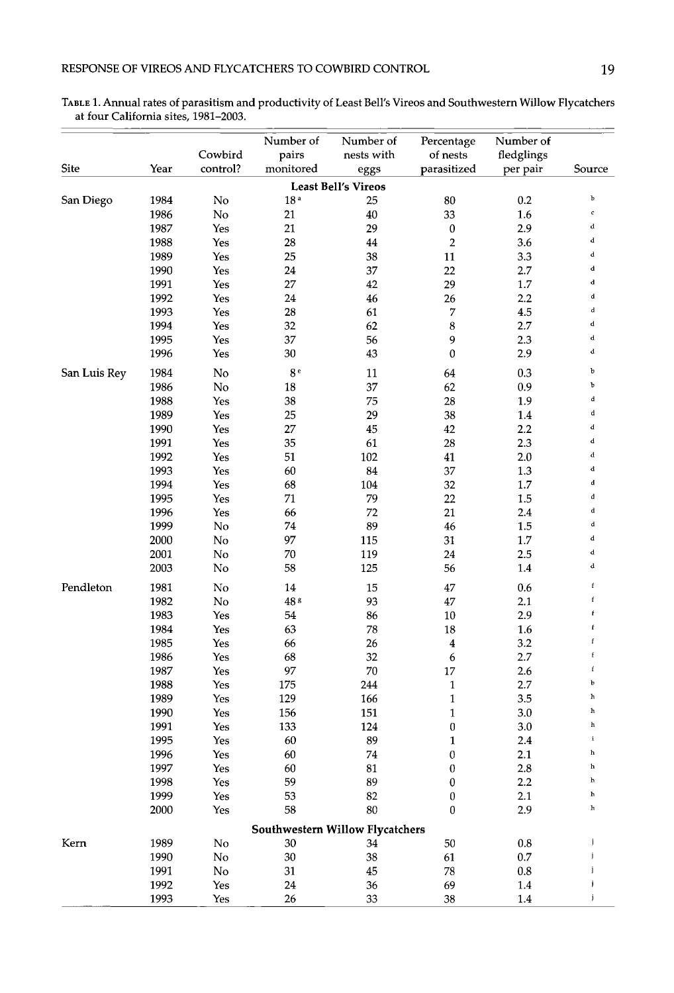**TABLœ 1. Annual rates of parasitism and productivity of Least Bell's Vireos and Southwestern Willow Flycatchers at four California sites, 1981-2003.** 

|              |              |            | Number of                       | Number of                  | Percentage                   | Number of  |             |
|--------------|--------------|------------|---------------------------------|----------------------------|------------------------------|------------|-------------|
|              |              | Cowbird    | pairs                           | nests with                 | of nests                     | fledglings |             |
| Site         | Year         | control?   | monitored                       | eggs                       | parasitized                  | per pair   | Source      |
|              |              |            |                                 | <b>Least Bell's Vireos</b> |                              |            |             |
| San Diego    | 1984         | No         | 18 <sup>a</sup>                 | 25                         | 80                           | 0.2        | $\mathbf b$ |
|              | 1986         | No         | 21                              | 40                         | 33                           | 1.6        | $\mathbf c$ |
|              | 1987         | Yes        | 21                              | 29                         | $\pmb{0}$                    | 2.9        | d           |
|              | 1988         | Yes        | 28                              | 44                         | $\mathbf 2$                  | 3.6        | d           |
|              | 1989         | Yes        | 25                              | 38                         | 11                           | 3.3        | $\mathbf d$ |
|              | 1990         | Yes        | 24                              | 37                         | 22                           | 2.7        | d           |
|              | 1991         | Yes        | 27                              | 42                         | 29                           | 1.7        | $\mathbf d$ |
|              | 1992         | Yes        | 24                              | 46                         | 26                           | 2.2        | d           |
|              | 1993         | Yes        | 28                              | 61                         | 7                            | 4.5        | d           |
|              | 1994         | Yes        | 32                              | 62                         | $\, 8$                       | 2.7        | d           |
|              | 1995         | Yes        | 37                              | 56                         | 9                            | 2.3        | d           |
|              | 1996         | Yes        | 30                              | 43                         | $\mathbf 0$                  | 2.9        | $\mathbf d$ |
| San Luis Rey | 1984         | No         | 8 <sup>e</sup>                  | 11                         | 64                           | 0.3        | $\mathbf b$ |
|              | 1986         | No         | 18                              | 37                         | 62                           | 0.9        | Ъ           |
|              | 1988         | Yes        | 38                              | 75                         | 28                           | 1.9        | d           |
|              | 1989         | Yes        | 25                              | 29                         | 38                           | 1.4        | $\mathsf d$ |
|              | 1990         | Yes        | 27                              | 45                         | 42                           | 2.2        | d           |
|              | 1991         | Yes        | 35                              | 61                         | 28                           | 2.3        | d           |
|              | 1992         | Yes        | 51                              | 102                        | 41                           | 2.0        | $\mathbf d$ |
|              | 1993         | Yes        | 60                              | 84                         | 37                           | 1.3        | đ           |
|              | 1994         | Yes        | 68                              | 104                        | 32                           | 1.7        | d           |
|              | 1995         | Yes        | 71                              | 79                         | 22                           | 1.5        | d           |
|              | 1996         | Yes        | 66                              | 72                         | 21                           | 2.4        | d           |
|              | 1999         | No         | 74                              | 89                         | 46                           | 1.5        | d           |
|              | 2000         | No         | 97                              | 115                        | 31                           | 1.7        | d           |
|              | 2001         | No         | 70                              | 119                        | 24                           | 2.5        | d           |
|              | 2003         | No         | 58                              | 125                        | 56                           | 1.4        | d           |
| Pendleton    | 1981         | No         | 14                              | 15                         | 47                           | 0.6        | $\mathbf f$ |
|              | 1982         | No         | 48 s                            | 93                         | 47                           | 2.1        | $\mathbf f$ |
|              | 1983         | Yes        | 54                              | 86                         | $10\,$                       | 2.9        | f           |
|              | 1984         | Yes        | 63                              | 78                         | 18                           | 1.6        | $\mathbf f$ |
|              | 1985         | Yes        | 66                              | 26                         | $\boldsymbol{4}$             | 3.2        | f           |
|              | 1986         | Yes        | 68                              | 32                         | 6                            | 2.7        | $\mathbf f$ |
|              | 1987         | Yes        | 97                              | 70                         | 17                           | 2.6        | $\mathbf f$ |
|              | 1988         | Yes        | 175                             | 244                        | $\mathbf{1}$                 | 2.7        | b           |
|              | 1989         | Yes        | 129                             | 166                        | $\mathbf{1}$                 | 3.5        | $\,$ h      |
|              | 1990         | Yes        | 156                             | 151                        | $\mathbf{1}$                 | 3.0        | ħ           |
|              | 1991         | Yes        | 133                             | 124                        | $\boldsymbol{0}$             | 3.0        | h           |
|              | 1995         | Yes        | 60                              | 89                         | $\mathbf{1}$                 | 2.4        | $\rm i$     |
|              |              |            |                                 |                            |                              |            | h           |
|              | 1996         | Yes        | 60                              | 74                         | 0                            | 2.1        | h           |
|              | 1997         | Yes        | 60                              | 81                         | $\bf{0}$                     | 2.8        | h           |
|              | 1998         | Yes        | 59                              | 89                         | 0                            | $2.2\,$    | h           |
|              | 1999<br>2000 | Yes<br>Yes | 53<br>58                        | 82<br>80                   | $\bf{0}$<br>$\boldsymbol{0}$ | 2.1<br>2.9 | h           |
|              |              |            | Southwestern Willow Flycatchers |                            |                              |            |             |
| Kern         | 1989         | No         | 30                              | 34                         | 50                           | 0.8        | j           |
|              | 1990         | No         | 30                              | 38                         | 61                           | 0.7        |             |
|              | 1991         | No         | 31                              | 45                         | 78                           | 0.8        |             |
|              | 1992         | Yes        | 24                              | 36                         | 69                           | 1.4        | j           |
|              | 1993         | Yes        | 26                              | 33                         | 38                           | 1.4        | j           |
|              |              |            |                                 |                            |                              |            |             |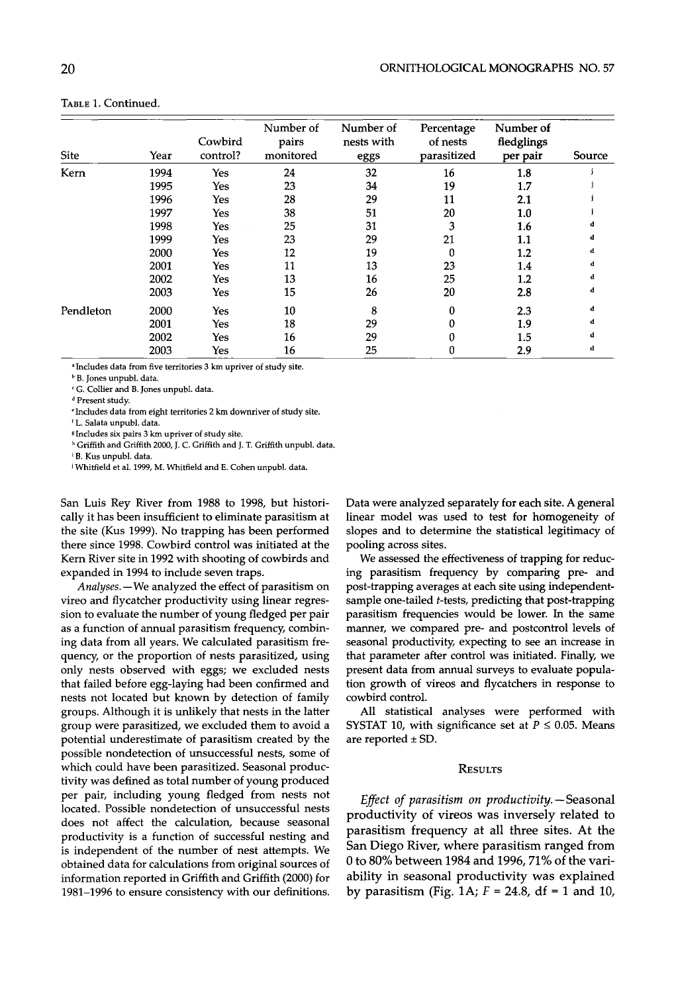| Site      | Year | Cowbird<br>control? | Number of<br>pairs<br>monitored | Number of<br>nests with<br>eggs | Percentage<br>of nests<br>parasitized | Number of<br>fledglings<br>per pair | Source |
|-----------|------|---------------------|---------------------------------|---------------------------------|---------------------------------------|-------------------------------------|--------|
| Kern      | 1994 | Yes                 | 24                              | 32                              | 16                                    | 1.8                                 |        |
|           | 1995 | Yes                 | 23                              | 34                              | 19                                    | 1.7                                 |        |
|           | 1996 | Yes                 | 28                              | 29                              | 11                                    | 2.1                                 |        |
|           | 1997 | Yes                 | 38                              | 51                              | 20                                    | 1.0                                 |        |
|           | 1998 | Yes                 | 25                              | 31                              | 3                                     | 1.6                                 |        |
|           | 1999 | Yes                 | 23                              | 29                              | 21                                    | $1.1\,$                             |        |
|           | 2000 | <b>Yes</b>          | 12                              | 19                              | 0                                     | $1.2\,$                             | d      |
|           | 2001 | Yes                 | 11                              | 13                              | 23                                    | 1.4                                 |        |
|           | 2002 | Yes                 | 13                              | 16                              | 25                                    | 1.2                                 |        |
|           | 2003 | Yes                 | 15                              | 26                              | 20                                    | 2.8                                 | d      |
| Pendleton | 2000 | Yes                 | 10                              | 8                               | 0                                     | 2.3                                 | d      |
|           | 2001 | Yes                 | 18                              | 29                              | 0                                     | 1.9                                 |        |
|           | 2002 | Yes                 | 16                              | 29                              | 0                                     | 1.5                                 |        |
|           | 2003 | Yes                 | 16                              | 25                              | 0                                     | 2.9                                 | d      |

### **TABLE 1. Continued.**

**alncludes data from five territories 3 km upriver of study site.** 

**b B. Jones unpubl. data.** 

**c G. Collier and B. Jones unpubl. data.** 

<sup>d</sup> Present study.

**'Includes data from eight territories 2km downriver of study site.** 

**• L. Salata unpubl. data.** 

**Slncludes six pairs 3 km upriver of study site.** 

**h Griffith and Griffith 2000, J. C. Griffith and J. T. Griffith unpubl. data.** 

**• B. Kus unpubl. data.** 

**i Whitfield et al. 1999, M. Whitfield and E. Cohen unpubl. data.** 

**San Luis Rey River from 1988 to 1998, but historically it has been insufficient to eliminate parasitism at the site (Kus 1999). No trapping has been performed there since 1998. Cowbird control was initiated at the Kern River site in 1992 with shooting of cowbirds and expanded in 1994 to include seven traps.** 

**Analyses.--We analyzed the effect of parasitism on vireo and flycatcher productivity using linear regression to evaluate the number of young fledged per pair as a function of annual parasitism frequency, combining data from all years. We calculated parasitism frequency, or the proportion of nests parasitized, using only nests observed with eggs; we excluded nests that failed before egg-laying had been confirmed and nests not located but known by detection of family groups. Although it is unlikely that nests in the latter group were parasitized, we excluded them to avoid a potential underestimate of parasitism created by the possible nondetection of unsuccessful nests, some of which could have been parasitized. Seasonal productivity was defined as total number of young produced per pair, including young fledged from nests not located. Possible nondetection of unsuccessful nests does not affect the calculation, because seasonal productivity is a function of successful nesting and is independent of the number of nest attempts. We obtained data for calculations from original sources of information reported in Griffith and Griffith (2000) for 1981-1996 to ensure consistency with our definitions.** 

**Data were analyzed separately for each site. A general linear model was used to test for homogeneity of slopes and to determine the statistical legitimacy of pooling across sites.** 

We assessed the effectiveness of trapping for reduc**ing parasitism frequency by comparing pre- and post-trapping averages at each site using independentsample one-tailed t-tests, predicting that post-trapping parasitism frequencies would be lower. In the same**  manner, we compared pre- and postcontrol levels of **seasonal productivity, expecting to see an increase in**  that parameter after control was initiated. Finally, we **present data from annual surveys to evaluate population growth of vireos and flycatchers in response to cowbird control.** 

**All statistical analyses were performed with SYSTAT 10, with significance set at**  $P \leq 0.05$ **. Means are reported + SD.** 

#### **RESULTS**

Effect of parasitism on productivity.-Seasonal **productivity of vireos was inversely related to parasitism frequency at all three sites. At the San Diego River, where parasitism ranged from 0 to 80% between 1984 and 1996, 71% of the variability in seasonal productivity was explained by parasitism (Fig. 1A; F = 24.8, df = 1 and 10,**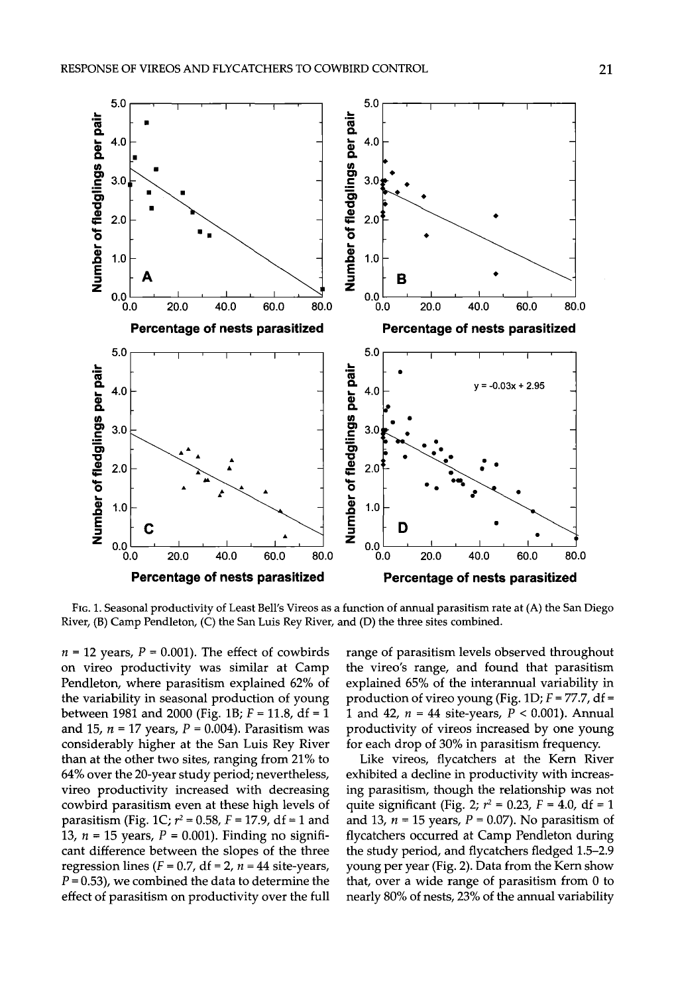

**FIc. 1. Seasonal productivity of Least Bell's Vireos as a function of annual parasitism rate at (A) the San Diego River, (B) Camp Pendleton, (C) the San Luis Rey River, and (D) the three sites combined.** 

 $n = 12$  years,  $P = 0.001$ ). The effect of cowbirds **on vireo productivity was similar at Camp Pendleton, where parasitism explained 62% of the variability in seasonal production of young between 1981 and 2000 (Fig. lB; F = 11.8, df = 1 and 15, n = 17 years, P = 0.004). Parasitism was considerably higher at the San Luis Rey River than at the other two sites, ranging from 21% to 64% over the 20-year study period; nevertheless, vireo productivity increased with decreasing cowbird parasitism even at these high levels of parasitism (Fig. 1C;**  $r^2 = 0.58$ **,**  $F = 17.9$ **, df = 1 and 13, n = 15 years, P = 0.001). Finding no significant difference between the slopes of the three regression lines (** $F = 0.7$ **, df = 2,**  $n = 44$  **site-years, P = 0.53), we combined the data to determine the effect of parasitism on productivity over the full**  **range of parasitism levels observed throughout the vireo's range, and found that parasitism explained 65% of the interannual variability in production of vireo young (Fig. 1D; F = 77.7, df = 1 and 42, n = 44 site-years, P < 0.001). Annual productivity of vireos increased by one young for each drop of 30% in parasitism frequency.** 

**Like vireos, flycatchers at the Kern River exhibited a decline in productivity with increasing parasitism, though the relationship was not**  quite significant (Fig. 2;  $r^2 = 0.23$ ,  $F = 4.0$ , df = 1 and 13,  $n = 15$  years,  $P = 0.07$ ). No parasitism of **flycatchers occurred at Camp Pendleton during the study period, and flycatchers fledged 1.5-2.9 young per year (Fig. 2). Data from the Kern show that, over a wide range of parasitism from 0 to nearly 80% of nests, 23% of the annual variability**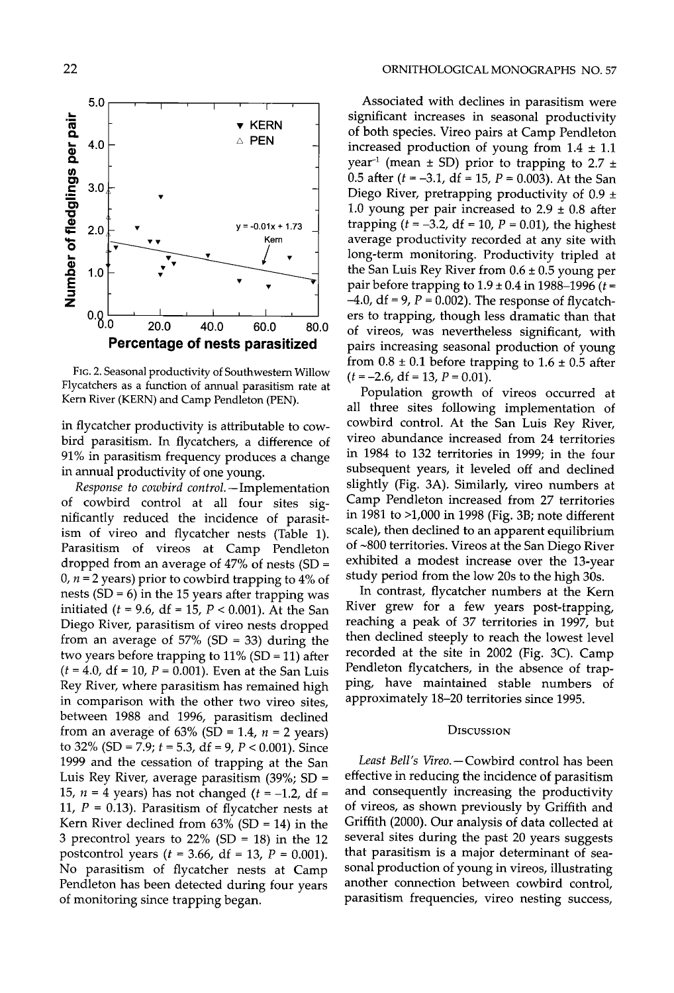

**FIG. 2. Seasonal productivity of Southwestern Willow Flycatchers as a function of annual parasitism rate at Kern River (KERN) and Camp Pendleton (PEN).** 

**in flycatcher productivity is attributable to cow**bird parasitism. In flycatchers, a difference of **91% in parasitism frequency produces achange in annual productivity of one young.** 

**Response to cowbird control.**-Implementation **of cowbird control at all four sites significantly reduced the incidence of parasitism of vireo and flycatcher nests (Table 1). Parasitism of vireos at Camp Pendleton dropped from an average of 47% of nests (SD =**  0,  $n = 2$  years) prior to cowbird trapping to  $4\%$  of **nests (SD = 6) in the 15 years after trapping was initiated (t = 9.6, df = 15, P < 0.001). At the San Diego River, parasitism of vireo nests dropped from an average of 57% (SD = 33) during the two years before trapping to 11% (SD = 11) after**   $(t = 4.0, df = 10, P = 0.001)$ . Even at the San Luis **Rey River, where parasitism has remained high in comparison with the other two vireo sites, between 1988 and 1996, parasitism declined**  from an average of  $63\%$  (SD = 1.4,  $n = 2$  years) **to 32% (SD = 7.9; t = 5.3, df = 9, P < 0.001). Since 1999 and the cessation of trapping at the San Luis Rey River, average parasitism (39%; SD =**  15,  $n = 4$  years) has not changed  $(t = -1.2, df =$ **11, P = 0.13). Parasitism of flycatcher nests at Kern River declined from 63% (SD = 14) in the 3 precontrol years to 22% (SD = 18) in the 12 postcontrol years (t = 3.66, df = 13, P = 0.001). No parasitism of flycatcher nests at Camp Pendleton has been detected during four years of monitoring since trapping began.** 

**Associated with declines in parasitism were significant increases in seasonal productivity of both species. Vireo pairs at Camp Pendleton**  increased production of young from  $1.4 \pm 1.1$  $year<sup>-1</sup>$  (mean  $\pm$  SD) prior to trapping to 2.7  $\pm$ 0.5 after  $(t = -3.1, df = 15, P = 0.003)$ . At the San Diego River, pretrapping productivity of  $0.9 \pm$ 1.0 young per pair increased to  $2.9 \pm 0.8$  after trapping  $(t = -3.2, df = 10, P = 0.01)$ , the highest **average productivity recorded at any site with long-term monitoring. Productivity tripled at**  the San Luis Rey River from  $0.6 \pm 0.5$  young per pair before trapping to  $1.9 \pm 0.4$  in  $1988 - 1996$  ( $t =$ **-4.0, df = 9, P = 0.002). The response of flycatchers to trapping, though less dramatic than that**  of vireos, was nevertheless significant, with **pairs increasing seasonal production of young**  from  $0.8 \pm 0.1$  before trapping to  $1.6 \pm 0.5$  after  $(t = -2.6, df = 13, P = 0.01).$ 

**Population growth of vireos occurred at all three sites following implementation of cowbird control. At the San Luis Rey River, vireo abundance increased from 24 territories in 1984 to 132 territories in 1999; in the four subsequent years, it leveled off and declined slightly (Fig. 3A). Similarly, vireo numbers at Camp Pendleton increased from 27 territories in 1981 to >1,000 in 1998 (Fig. 3B; note different scale), then declined to an apparent equilibrium of -800 territories. Vireos at the San Diego River exhibited a modest increase over the 13-year study period from the low 20s to the high 30s.** 

**In contrast, flycatcher numbers at the Kern River grew for a few years post-trapping, reaching a peak of 37 territories in 1997, but then declined steeply to reach the lowest level recorded at the site in 2002 (Fig. 3C). Camp Pendleton flycatchers, in the absence of trapping, have maintained stable numbers of approximately 18-20 territories since 1995.** 

#### **DISCUSSION**

Least Bell's Vireo.-Cowbird control has been **effective in reducing the incidence of parasitism and consequently increasing the productivity of vireos, as shown previously by Griffith and Griffith (2000). Our analysis of data collected at several sites during the past 20 years suggests that parasitism is a major determinant of seasonal production of young in vireos, illustrating another connection between cowbird control, parasitism frequencies, vireo nesting success,**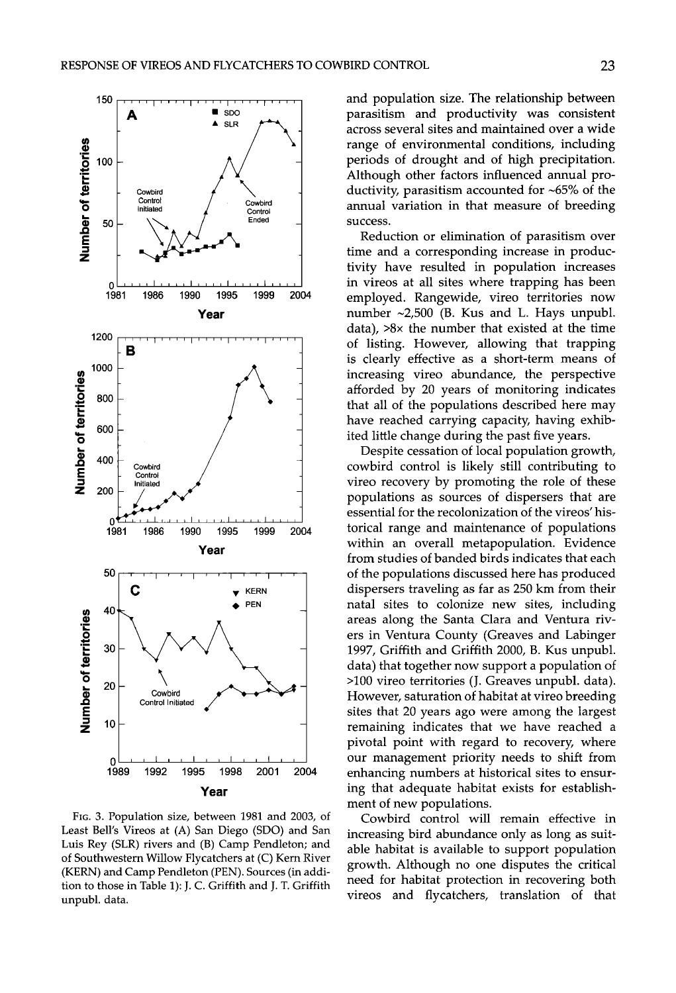

**Fie. 3. Population size, between 1981 and 2003, of Least Bell's Vireos at (A) San Diego (SDO) and San Luis Rey (SLR) rivers and (B) Camp Pendleton; and of Southwestern Willow Flycatchers at (C) Kern River (KERN) and Camp Pendleton (PEN). Sources (in addition to those in Table 1): J. C. Griffith and J. T. Griffith unpubl. data.** 

**and population size. The relationship between parasitism and productivity was consistent across several sites and maintained over a wide range of environmental conditions, including periods of drought and of high precipitation. Although other factors influenced annual productivity, parasitism accounted for -65% of the annual variation in that measure of breeding success.** 

**Reduction or elimination of parasitism over time and a corresponding increase in productivity have resulted in population increases in vireos at all sites where trapping has been employed. Rangewide, vireo territories now number -2,500 (B. Kus and L. Hays unpubl. data), >8x the number that existed at the time of listing. However, allowing that trapping is clearly effective as a short-term means of increasing vireo abundance, the perspective afforded by 20 years of monitoring indicates that all of the populations described here may have reached carrying capacity, having exhibited little change during the past five years.** 

**Despite cessation of local population growth, cowbird control is likely still contributing to vireo recovery by promoting the role of these populations as sources of dispersers that are essential for the recolonization of the vireos' historical range and maintenance of populations within an overall metapopulation. Evidence from studies of banded birds indicates that each of the populations discussed here has produced dispersers traveling as far as 250 km from their natal sites to colonize new sites, including areas along the Santa Clara and Ventura rivers in Ventura County (Greaves and Labinger 1997, Griffith and Griffith 2000, B. Kus unpubl. data) that together now support a population of >100 vireo territories (J. Greaves unpubl. data). However, saturation of habitat at vireo breeding sites that 20 years ago were among the largest remaining indicates that we have reached a pivotal point with regard to recovery, where our management priority needs to shift from enhancing numbers at historical sites to ensuring that adequate habitat exists for establishment of new populations.** 

**Cowbird control will remain effective in increasing bird abundance only as long as suitable habitat is available to support population growth. Although no one disputes the critical need for habitat protection in recovering both vireos and flycatchers, translation of that**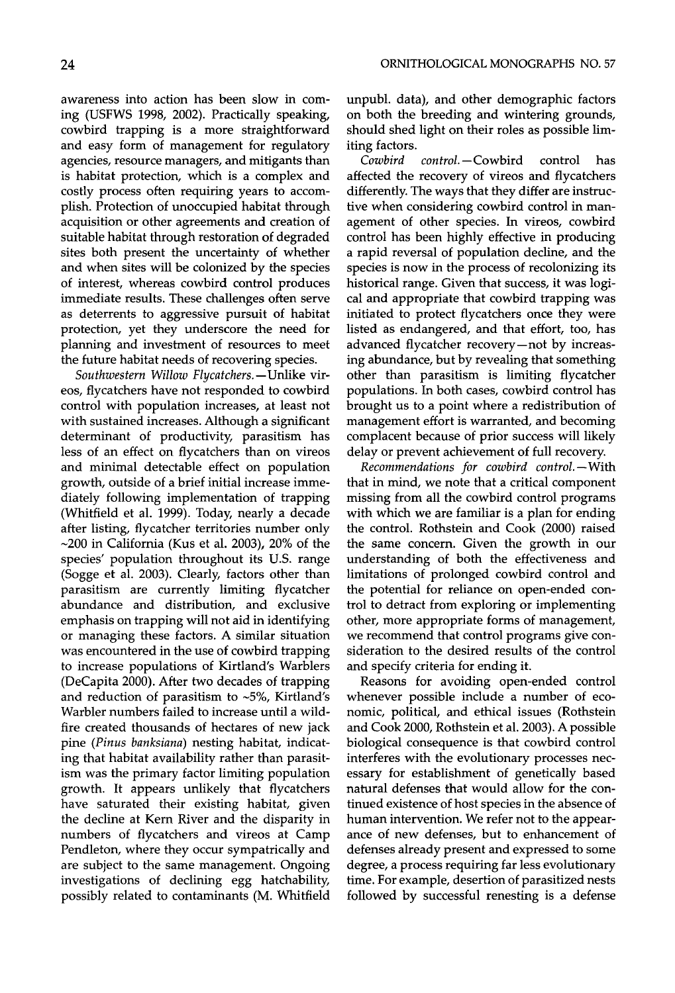**awareness into action has been slow in coming (USFWS 1998, 2002). Practically speaking, cowbird trapping is a more straightforward and easy form of management for regulatory agencies, resource managers, and mitigants than is habitat protection, which is a complex and costly process often requiring years to accomplish. Protection of unoccupied habitat through acquisition or other agreements and creation of suitable habitat through restoration of degraded sites both present the uncertainty of whether and when sites will be colonized by the species of interest, whereas cowbird control produces immediate results. These challenges often serve as deterrents to aggressive pursuit of habitat protection, yet they underscore the need for planning and investment of resources to meet the future habitat needs of recovering species.** 

Southwestern Willow Flycatchers.-Unlike vir**eos, flycatchers have not responded to cowbird control with population increases, at least not with sustained increases. Although a significant determinant of productivity, parasitism has less of an effect on flycatchers than on vireos and minimal detectable effect on population growth, outside of a brief initial increase immediately following implementation of trapping (Whitfield et al. 1999). Today, nearly a decade after listing, flycatcher territories number only -200 in California (Kus et al. 2003), 20% of the**  species' population throughout its U.S. range **(Sogge et al. 2003). Clearly, factors other than parasitism are currently limiting flycatcher abundance and distribution, and exclusive emphasis on trapping will not aid in identifying or managing these factors. A similar situation was encountered in the use of cowbird trapping to increase populations of Kirtland's Warblers (DeCapita 2000). After two decades of trapping and reduction of parasitism to -5%, Kirtland's Warbler numbers failed to increase until a wildfire created thousands of hectares of new jack pine (Pinus banksiana) nesting habitat, indicating that habitat availability rather than parasitism was the primary factor limiting population growth. It appears unlikely that flycatchers have saturated their existing habitat, given the decline at Kern River and the disparity in numbers of flycatchers and vireos at Camp Pendleton, where they occur sympatrically and are subject to the same management. Ongoing investigations of declining egg hatchability, possibly related to contaminants (M. Whitfield**  **unpubt. data), and other demographic factors on both the breeding and wintering grounds, should shed light on their roles as possible limiting factors.** 

control.-Cowbird control has **affected the recovery of vireos and flycatchers differently. The ways that they differ are instructive when considering cowbird control in management of other species. In vireos, cowbird control has been highly effective in producing a rapid reversal of population decline, and the species is now in the process of recolonizing its historical range. Given that success, itwas logical and appropriate that cowbird trapping was initiated to protect flycatchers once they were listed as endangered, and that effort, too, has advanced flycatcher recovery--not by increasing abundance, but by revealing that something other than parasitism is limiting flycatcher populations. In both cases, cowbird control has brought us to a point where a redistribution of management effort is warranted, and becoming complacent because of prior success will likely delay or prevent achievement of full recovery.** 

**Recommendations for cowbird controL--With that in mind, we note that a critical component missing from all the cowbird control programs with which we are familiar is a plan for ending the control. Rothstein and Cook (2000) raised the same concern. Given the growth in our understanding of both the effectiveness and limitations of prolonged cowbird control and the potential for reliance on open-ended control to detract from exploring or implementing other, more appropriate forms of management, we recommend that control programs give consideration to the desired results of the control and specify criteria for ending it.** 

**Reasons for avoiding open-ended control whenever possible include a number of economic, political, and ethical issues (Rothstein and Cook 2000, Rothstein et al. 2003). A possible**  biological consequence is that cowbird control **interferes with the evolutionary processes necessary for establishment of genetically based natural defenses that would allow for the continued existence of host species in the absence of human intervention. We refer not to the appearance of new defenses, but to enhancement of defenses already present and expressed to some degree, a process requiring far less evolutionary time. For example, desertion of parasitized nests followed by successful renesting is a defense**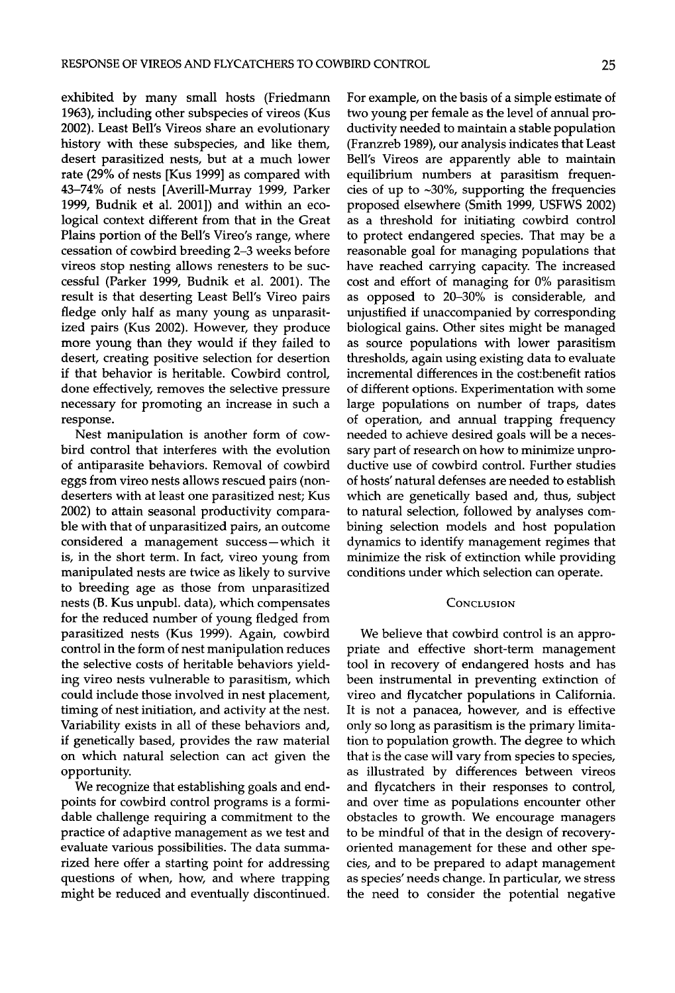**exhibited by many small hosts (Friedmann 1963), including other subspecies of vireos (Kus 2002). Least Bell's Vireos share an evolutionary history with these subspecies, and like them, desert parasitized nests, but at a much lower rate (29% of nests [Kus 1999] as compared with 43-74% of nests [Averill-Murray 1999, Parker 1999, Budnik et al. 2001]) and within an ecological context different from that in the Great Plains portion of the Bell's Vireo's range, where cessation of cowbird breeding 2-3 weeks before vireos stop nesting allows renesters to be successful (Parker 1999, Budnik et al. 2001). The result is that deserting Least Bell's Vireo pairs fledge only half as many young as unparasitized pairs (Kus 2002). However, they produce more young than they would if they failed to desert, creating positive selection for desertion**  if that behavior is heritable. Cowbird control, **done effectively, removes the selective pressure necessary for promoting an increase in such a response.** 

**Nest manipulation is another form of cowbird control that interferes with the evolution of antiparasite behaviors. Removal of cowbird eggs from vireo nests allows rescued pairs (nondeserters with at least one parasitized nest; Kus 2002) to attain seasonal productivity comparable with that of unparasitized pairs, an outcome considered a management success--which it is, in the short term. In fact, vireo young from manipulated nests are twice as likely to survive to breeding age as those from unparasitized nests (B. Kus unpubl. data), which compensates for the reduced number of young fledged from parasitized nests (Kus 1999). Again, cowbird control in the form of nest manipulation reduces the selective costs of heritable behaviors yielding vireo nests vulnerable to parasitism, which could include those involved in nest placement, timing of nest initiation, and activity at the nest. Variability exists in all of these behaviors and, if genetically based, provides the raw material on which natural selection can act given the opportunity.** 

**We recognize that establishing goals and endpoints for cowbird control programs is a formi**dable challenge requiring a commitment to the **practice of adaptive management as we test and evaluate various possibilities. The data summarized here offer a starting point for addressing questions of when, how, and where trapping might be reduced and eventually discontinued.** 

**For example, on the basis of a simple estimate of two young per female as the level of annual productivity needed to maintain a stable population (Franzreb 1989), our analysis indicates that Least Bell's Vireos are apparently able to maintain equilibrium numbers at parasitism frequencies of up to -30%, supporting the frequencies proposed elsewhere (Smith 1999, USFWS 2002) as a threshold for initiating cowbird control to protect endangered species. That may be a reasonable goal for managing populations that have reached carrying capacity. The increased cost and effort of managing for 0% parasitism as opposed to 20-30% is considerable, and unjustified if unaccompanied by corresponding biological gains. Other sites might be managed as source populations with lower parasitism thresholds, again using existing data to evaluate incremental differences in the cost:benefit ratios of different options. Experimentation with some large populations on number of traps, dates of operation, and annual trapping frequency needed to achieve desired goals will be a necessary part of research on how to minimize unproductive use of cowbird control. Further studies of hosts' natural defenses are needed to establish which are genetically based and, thus, subject to natural selection, followed by analyses combining selection models and host population dynamics to identify management regimes that minimize the risk of extinction while providing conditions under which selection can operate.** 

### **CONCLUSION**

**We believe that cowbird control is an appropriate and effective short-term management tool in recovery of endangered hosts and has been instrumental in preventing extinction of vireo and flycatcher populations in California. It is not a panacea, however, and is effective only so long as parasitism is the primary limitation to population growth. The degree to which that is the case will vary from species to species, as illustrated by differences between vireos**  and flycatchers in their responses to control, **and over time as populations encounter other obstacles to growth. We encourage managers to be mindful of that in the design of recoveryoriented management for these and other species, and to be prepared to adapt management as species' needs change. In particular, we stress the need to consider the potential negative**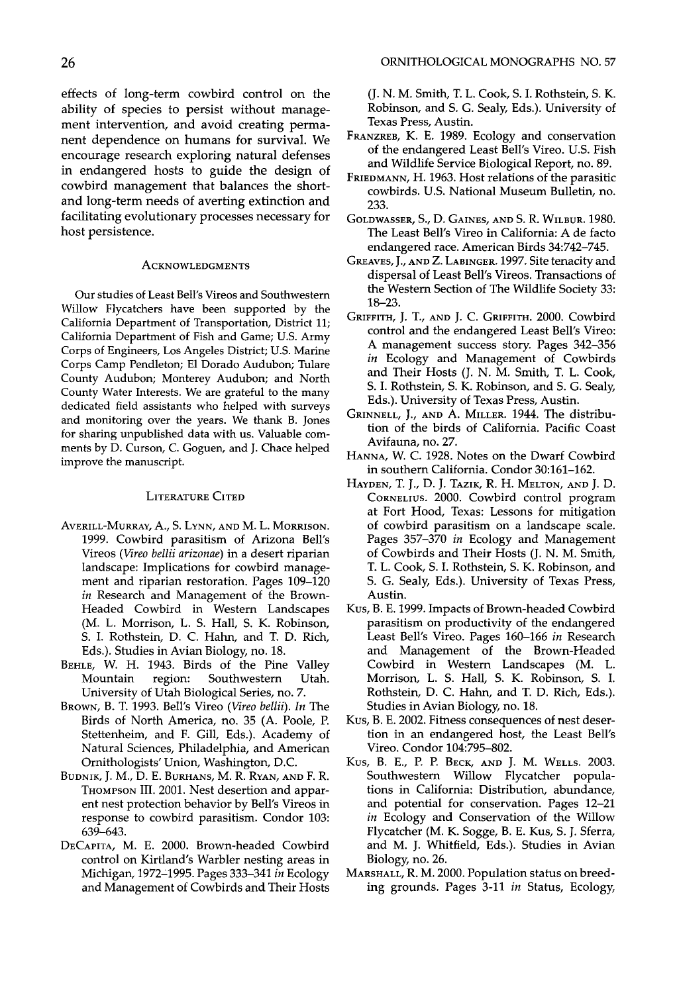**effects of long-term cowbird control on the ability of species to persist without management intervention, and avoid creating permanent dependence on humans for survival. We encourage research exploring natural defenses in endangered hosts to guide the design of**  cowbird management that balances the short**and long-term needs of averting extinction and facilitating evolutionary processes necessary for host persistence.** 

#### **ACKNOWLEDGMENTS**

**Our studies of Least Bell's Vireos and Southwestern Willow Flycatchers have been supported by the California Department of Transportation, District 11; California Department of Fish and Game; U.S. Army Corps of Engineers, Los Angeles District; U.S. Marine Corps Camp Pendleton; E1 Dorado Audubon; Tulare County Audubon; Monterey Audubon; and North County Water Interests. We are grateful to the many dedicated field assistants who helped with surveys and monitoring over the years. We thank B. Jones for sharing unpublished data with us. Valuable comments by D. Curson, C. Goguen, and J. Chace helped improve the manuscript.** 

#### **LITERATURE CITED**

- **AVERILL-MURRAY, A., S. LYNN, AND M. L. MORRISON. 1999. Cowbird parasitism of Arizona Bell's Vireos (Vireo bellii arizonae) in a desert riparian landscape: Implications for cowbird management and riparian restoration. Pages 109-120 in Research and Management of the Brown-Headed Cowbird in Western Landscapes (M. L. Morrison, L. S. Hall, S. K. Robinson, S. I. Rothstein, D.C. Hahn, and T. D. Rich,**  Eds.). Studies in Avian Biology, no. 18.
- **BEHLE, W. H. 1943. Birds of the Pine Valley Mountain region: Southwestern Utah. University of Utah Biological Series, no. 7.**
- **BROWN, B. T. 1993. Bell's Vireo (Vireo bellii). In The Birds of North America, no. 35 (A. Poole, P. Stettenheim, and F. Gill, Eds.). Academy of Natural Sciences, Philadelphia, and American Ornithologists' Union, Washington, D.C.**
- **BUDNIK, J. M., D. E. BURHANS, M. R. RYAN, AND F. R.**  THOMPSON III. 2001. Nest desertion and appar**ent nest protection behavior by Bell's Vireos in response to cowbird parasitism. Condor 103: 639-643.**
- **DECAPITA, M. E. 2000. Brown-headed Cowbird control on Kirtland's Warbler nesting areas in Michigan, 1972•1995. Pages 333-341 in Ecology and Management of Cowbirds and Their Hosts**

**(J. N.M. Smith, T. L. Cook, S. I. Rothstein, S. K. Robinson, and S. G. Sealy, Eds.). University of Texas Press, Austin.** 

- **FRANZREB, K.E. 1989. Ecology and conservation of the endangered Least Bell's Vireo. U.S. Fish and Wildlife Service Biological Report, no. 89.**
- **FRIEDMANN, H. 1963. Host relations of the parasitic cowbirds. U.S. National Museum Bulletin, no. 233.**
- **GOLDWASSER, S., D. GAINES, AND S. R. WILBUR. 1980. The Least Bell's Vireo in California: A de facto endangered race. American Birds 34:742-745.**
- **GREAVES, J., AND Z. LABINGER. 1997. Site tenacity and dispersal of Least Bell's Vireos. Transactions of the Western Section of The Wildlife Society 33: 18-23.**
- **GRIFFITh, J. T., AND J. C. GRIFFITh. 2000. Cowbird control and the endangered Least Bell's Vireo: A management success story. Pages 342-356 in Ecology and Management of Cowbirds**  and Their Hosts (J. N. M. Smith, T. L. Cook, **S. I. Rothstein, S. K. Robinson, and S. G. Sealy, Eds.). University of Texas Press, Austin.**
- **GRINNELL, J., AND A. MILLER. 1944. The distribution of the birds of California. Pacific Coast Avifauna, no. 27.**
- **HANNA, W. C. 1928. Notes on the Dwarf Cowbird in southern California. Condor 30:161-162.**
- **HAYDEN, T. J., D. J. TAZIK, R. H. MELTON, AND J. D. CORNELIUS. 2000. Cowbird control program at Fort Hood, Texas: Lessons for mitigation of cowbird parasitism on a landscape scale. Pages 357-370 in Ecology and Management of Cowbirds and Their Hosts (J. N.M. Smith, T. L. Cook, S. I. Rothstein, S. K. Robinson, and S. G. Sealy, Eds.). University of Texas Press, Austin.**
- **Kus, B. E. 1999. Impacts of Brown-headed Cowbird parasitism on productivity of the endangered Least Bell's Vireo. Pages 160-166 in Research and Management of the Brown-Headed Cowbird in Western Landscapes (M. L. Morrison, L. S. Hall, S. K. Robinson, S. I. Rothstein, D.C. Hahn, and T. D. Rich, Eds.). Studies in Avian Biology, no. 18.**
- **Kus, B. E. 2002. Fitness consequences of nest desertion in an endangered host, the Least Bell's Vireo. Condor 104:795-802.**
- **Kus, B. E., P. P. BECK, AND J. M. WELLS. 2003. Southwestern Willow Flycatcher populations in California: Distribution, abundance, and potential for conservation. Pages 12-21 in Ecology and Conservation of the Willow Flycatcher (M. K. Sogge, B. E. Kus, S. J. Sferra, and M. J. Whitfield, Eds.). Studies in Avian Biology, no. 26.**
- **MARSHALL, R.M. 2000. Population status on breeding grounds. Pages 3-11 in Status, Ecology,**